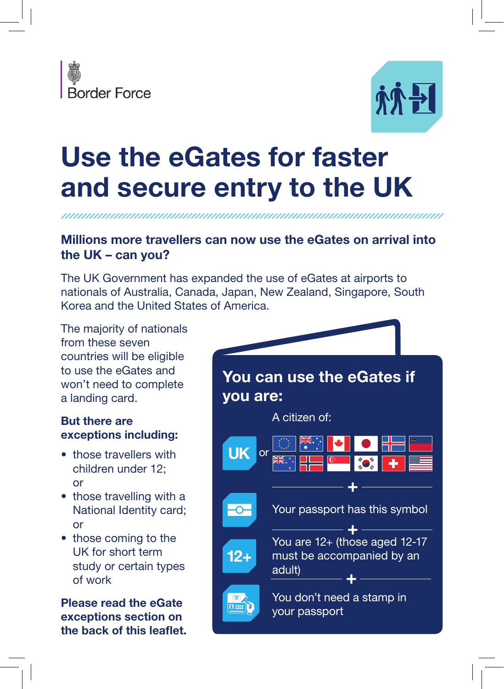



# Use the eGates for faster and secure entry to the UK

## Millions more travellers can now use the eGates on arrival into the UK – can you?

The UK Government has expanded the use of eGates at airports to nationals of Australia, Canada, Japan, New Zealand, Singapore, South Korea and the United States of America.

The majority of nationals from these seven countries will be eligible to use the eGates and won't need to complete a landing card.

## But there are exceptions including:

- those travellers with children under 12; or
- those travelling with a National Identity card; or
- those coming to the UK for short term study or certain types of work

Please read the eGate exceptions section on the back of this leaflet.